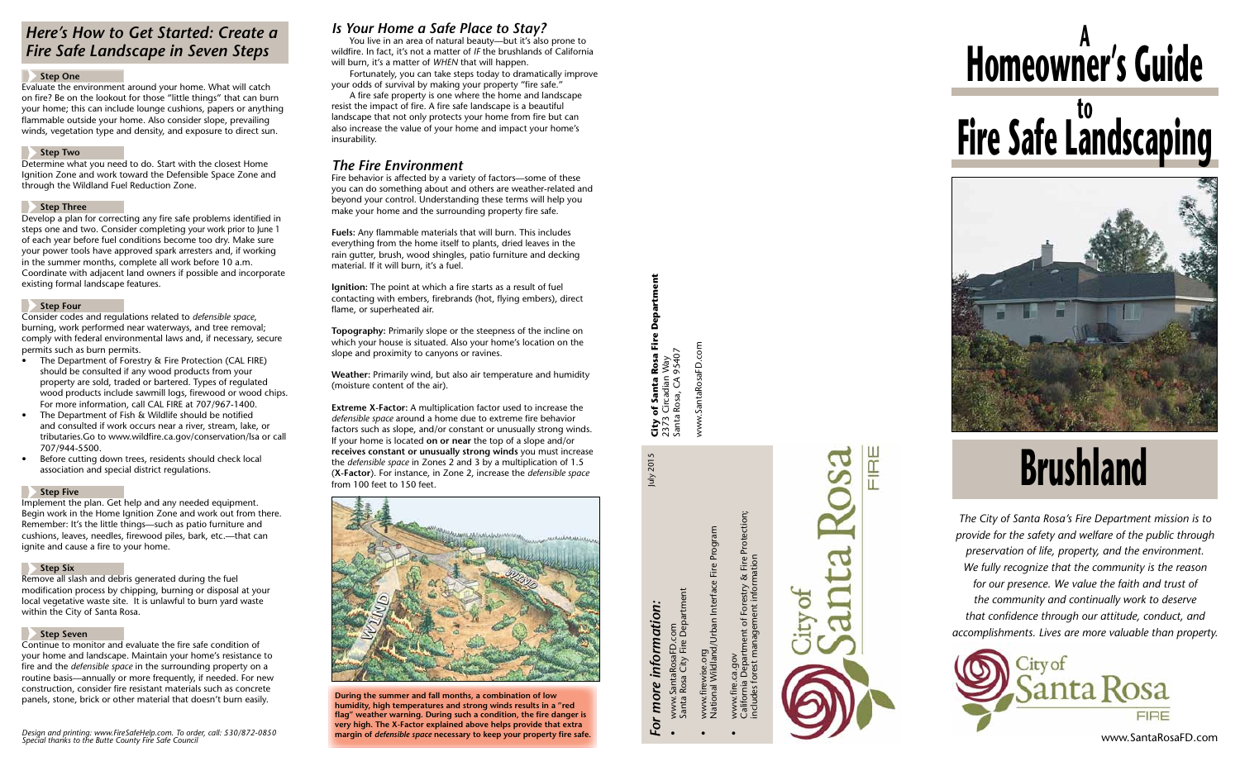## *Is Your Home a Safe Place to Stay?*

You live in an area of natural beauty—but it's also prone to wildfire. In fact, it's not a matter of *if* the brushlands of California will burn, it's a matter of *when* that will happen.

 Fortunately, you can take steps today to dramatically improve your odds of survival by making your property "fire safe."

 A fire safe property is one where the home and landscape resist the impact of fire. A fire safe landscape is a beautiful landscape that not only protects your home from fire but can also increase the value of your home and impact your home's insurability.

# *The Fire Environment*

Fire behavior is affected by a variety of factors—some of these you can do something about and others are weather-related and beyond your control. Understanding these terms will help you make your home and the surrounding property fire safe.

**Fuels:** Any flammable materials that will burn. This includes everything from the home itself to plants, dried leaves in the rain gutter, brush, wood shingles, patio furniture and decking material. If it will burn, it's a fuel.

# **Homeowner's Guide <sup>A</sup> Fire Safe Landscaping**



**Ignition:** The point at which a fire starts as a result of fuel contacting with embers, firebrands (hot, flying embers), direct flame, or superheated air.

**Topography:** Primarily slope or the steepness of the incline on which your house is situated. Also your home's location on the slope and proximity to canyons or ravines.

**Weather:** Primarily wind, but also air temperature and humidity (moisture content of the air).

**Extreme X-Factor:** A multiplication factor used to increase the *defensible space* around a home due to extreme fire behavior factors such as slope, and/or constant or unusually strong winds. If your home is located **on or near** the top of a slope and/or **receives constant or unusually strong winds** you must increase the *defensible space* in Zones 2 and 3 by a multiplication of 1.5 (**X-Factor**). For instance, in Zone 2, increase the *defensible space* from 100 feet to 150 feet.

# *Here's How to Get Started: Create a Fire Safe Landscape in Seven Steps*

#### **Step One**

Evaluate the environment around your home. What will catch on fire? Be on the lookout for those "little things" that can burn your home; this can include lounge cushions, papers or anything flammable outside your home. Also consider slope, prevailing winds, vegetation type and density, and exposure to direct sun.

#### **Step Two**

Determine what you need to do. Start with the closest Home Ignition Zone and work toward the Defensible Space Zone and through the Wildland Fuel Reduction Zone.

### **Step Three**

Develop a plan for correcting any fire safe problems identified in steps one and two. Consider completing your work prior to June 1 of each year before fuel conditions become too dry. Make sure your power tools have approved spark arresters and, if working in the summer months, complete all work before 10 a.m. Coordinate with adjacent land owners if possible and incorporate existing formal landscape features.

July 2015 **City of Santa Rosa Fire Department** Depart **, of Santa Rosa Fire D**<br>3 Circadian Way<br>ta Rosa, CA 95407 www.SantaRosaFD.com Santa Rosa, CA 95407 2373 Circadian Way Santa  $City_{2373}$ 

July 2015

### **Step Four**

Consider codes and regulations related to *defensible space*, burning, work performed near waterways, and tree removal; comply with federal environmental laws and, if necessary, secure permits such as burn permits.

- • The Department of Forestry & Fire Protection (CAL FIRE) should be consulted if any wood products from your property are sold, traded or bartered. Types of regulated wood products include sawmill logs, firewood or wood chips. For more information, call CAL FIRE at 707/967-1400.
- The Department of Fish & Wildlife should be notified and consulted if work occurs near a river, stream, lake, or tributaries.Go to www.wildfire.ca.gov/conservation/lsa or call 707/944-5500.
- Before cutting down trees, residents should check local association and special district regulations.

### **Step Five**

Implement the plan. Get help and any needed equipment. Begin work in the Home Ignition Zone and work out from there. Remember: It's the little things—such as patio furniture and cushions, leaves, needles, firewood piles, bark, etc.—that can ignite and cause a fire to your home.

### **Step Six**

Remove all slash and debris generated during the fuel modification process by chipping, burning or disposal at your local vegetative waste site. It is unlawful to burn yard waste within the City of Santa Rosa.

### **Step Seven**

Continue to monitor and evaluate the fire safe condition of your home and landscape. Maintain your home's resistance to fire and the *defensible space* in the surrounding property on a routine basis—annually or more frequently, if needed. For new construction, consider fire resistant materials such as concrete panels, stone, brick or other material that doesn't burn easily. **During the summer and fall months, a combination of low** 

**humidity, high temperatures and strong winds results in a "red flag" weather warning. During such a condition, the fire danger is very high. The X-Factor explained above helps provide that extra** 



*The City of Santa Rosa's Fire Department mission is to provide for the safety and welfare of the public through preservation of life, property, and the environment. We fully recognize that the community is the reason for our presence. We value the faith and trust of the community and continually work to deserve that confidence through our attitude, conduct, and accomplishments. Lives are more valuable than property.*



*Design and printing: www. FireSafe Help.com. To order, call: 530/872-0850 Special thanks to the Butte County Fire Safe Council*

*For more information:*

• www.SantaRosaFD.com

Santa Rosa City Fire Department

www.SantaRosaFD.com<br>Santa Rosa City Fire Department

• www.firewise.org

• www.fire.ca.gov

National Wildland/Urban Interface Fire Program

www.firewise.org<br>National Wildland/Urban Interface Fire Program



www.SantaRosaFD.com

# **Brushland**